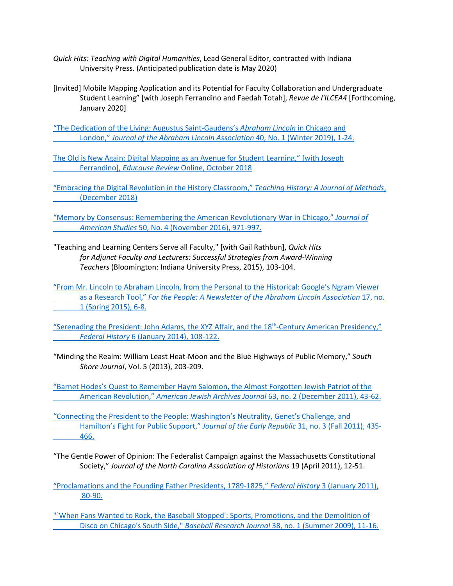- *Quick Hits: Teaching with Digital Humanities*, Lead General Editor, contracted with Indiana University Press. (Anticipated publication date is May 2020)
- [Invited] Mobile Mapping Application and its Potential for Faculty Collaboration and Undergraduate Student Learning" [with Joseph Ferrandino and Faedah Totah], *Revue de l'ILCEA4* [Forthcoming, January 2020]

["The Dedication of the Living: Augustus Saint-Gaudens's](https://quod.lib.umich.edu/j/jala/2629860.0040.103/--dedication-of-the-living-augustus-saint-gaudenss-abraham?rgn=main;view=fulltext) *Abraham Lincoln* in Chicago and London," *[Journal of the Abraham Lincoln Association](https://quod.lib.umich.edu/j/jala/2629860.0040.103/--dedication-of-the-living-augustus-saint-gaudenss-abraham?rgn=main;view=fulltext)* 40, No. 1 (Winter 2019), 1-24.

[The Old is New Again: Digital Mapping as an Avenue for Student Learning," \[with Joseph](https://er.educause.edu/articles/2018/10/the-old-is-new-again-digital-mapping-as-an-avenue-for-student-learning)  Ferrandino], *Educause Review* [Online, October 2018](https://er.educause.edu/articles/2018/10/the-old-is-new-again-digital-mapping-as-an-avenue-for-student-learning)

["Embracing the Digital Revolution in the History Classroom,"](https://iu.box.com/s/0zfuxmoqhkojqiuwgor77cgipgzq5pwz) *Teaching History: A Journal of Methods*, [\(December 2018\)](https://iu.box.com/s/0zfuxmoqhkojqiuwgor77cgipgzq5pwz)

["Memory by Consensus: Remembering the American Revolutionary War in Chicago,"](https://iu.box.com/s/ne3u937smipi6c8pzmek1dl6lwhql8l1) *Journal of American Studies* [50, No. 4 \(November 2016\), 971-997.](https://iu.box.com/s/ne3u937smipi6c8pzmek1dl6lwhql8l1)

"Teaching and Learning Centers Serve all Faculty," [with Gail Rathbun], *Quick Hits for Adjunct Faculty and Lecturers: Successful Strategies from Award-Winning Teachers* (Bloomington: Indiana University Press, 2015), 103-104.

["From Mr. Lincoln to Abraham Lincoln, from the Personal to the Historical: Google's Ngram Viewer](https://iu.box.com/s/f3fc1zucik1u75cktvp218ftfi0dlxs0)  as a Research Tool," *[For the People: A Newsletter of the Abraham Lincoln Association](https://iu.box.com/s/f3fc1zucik1u75cktvp218ftfi0dlxs0)* 17, no. [1 \(Spring 2015\), 6-8.](https://iu.box.com/s/f3fc1zucik1u75cktvp218ftfi0dlxs0)

"Serenading the President: John Adams, the XYZ Affair, and the  $18<sup>th</sup>$ -Century American Presidency," *Federal History* [6 \(January 2014\), 108-122.](http://www.shfg.org/resources/Documents/FH%206%20(2014)%20Young.pdf)

"Minding the Realm: William Least Heat-Moon and the Blue Highways of Public Memory," *South Shore Journal*, Vol. 5 (2013), 203-209.

["Barnet Hodes's Quest to Remember Haym Salomon, the Almost Forgotten Jewish Patriot of the](http://americanjewisharchives.org/publications/journal/PDF/2011_63_02_00_young.pdf)  American Revolution," *American Jewish Archives Journal* [63, no. 2 \(December 2011\), 43-62.](http://americanjewisharchives.org/publications/journal/PDF/2011_63_02_00_young.pdf)

["Connecting the President to the People: Washington's Neutrality, Genet's Challenge, and](https://iu.box.com/s/b9x4a28ldbbg1ye3exyahbrdmaff62tm)  [Hamilton's Fight for Public Support,"](https://iu.box.com/s/b9x4a28ldbbg1ye3exyahbrdmaff62tm) *Journal of the Early Republic* 31, no. 3 (Fall 2011), 435- [466.](https://iu.box.com/s/b9x4a28ldbbg1ye3exyahbrdmaff62tm)

"The Gentle Power of Opinion: The Federalist Campaign against the Massachusetts Constitutional Society," *Journal of the North Carolina Association of Historians* 19 (April 2011), 12-51.

["`When Fans Wanted to Rock, the Baseball Stopped': Sports, Promotions, and the Demolition of](https://iu.box.com/s/k9tomh4j4cbddmk09jyx3tv4b45aav5z)  Disco on Chicago's South Side," *Baseball Research Journal* [38, no. 1 \(Summer 2009\), 11-16.](https://iu.box.com/s/k9tomh4j4cbddmk09jyx3tv4b45aav5z)

[<sup>&</sup>quot;Proclamations and the Founding Father Presidents, 1789-1825,"](http://www.shfg.org/resources/Documents/FH%203%20(2011)%20Young.pdf) *Federal History* 3 (January 2011), [80-90.](http://www.shfg.org/resources/Documents/FH%203%20(2011)%20Young.pdf)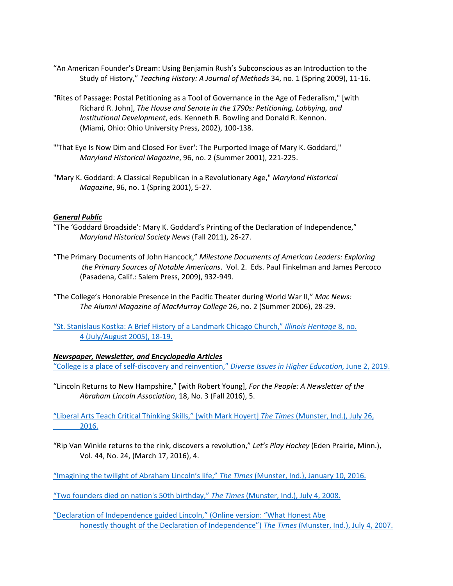- "An American Founder's Dream: Using Benjamin Rush's Subconscious as an Introduction to the Study of History," *Teaching History: A Journal of Methods* 34, no. 1 (Spring 2009), 11-16.
- "Rites of Passage: Postal Petitioning as a Tool of Governance in the Age of Federalism," [with Richard R. John], *The House and Senate in the 1790s: Petitioning, Lobbying, and Institutional Development*, eds. Kenneth R. Bowling and Donald R. Kennon. (Miami, Ohio: Ohio University Press, 2002), 100-138.
- "'That Eye Is Now Dim and Closed For Ever': The Purported Image of Mary K. Goddard," *Maryland Historical Magazine*, 96, no. 2 (Summer 2001), 221-225.
- "Mary K. Goddard: A Classical Republican in a Revolutionary Age," *Maryland Historical Magazine*, 96, no. 1 (Spring 2001), 5-27.

## *General Public*

- "The 'Goddard Broadside': Mary K. Goddard's Printing of the Declaration of Independence," *Maryland Historical Society News* (Fall 2011), 26-27.
- "The Primary Documents of John Hancock," *Milestone Documents of American Leaders: Exploring the Primary Sources of Notable Americans*. Vol. 2. Eds. Paul Finkelman and James Percoco (Pasadena, Calif.: Salem Press, 2009), 932-949.
- "The College's Honorable Presence in the Pacific Theater during World War II," *Mac News: The Alumni Magazine of MacMurray College* 26, no. 2 (Summer 2006), 28-29.
- ["St. Stanislaus Kostka: A Brief History of a Landmark Chicago Church,"](https://www.lib.niu.edu/2005/ih050718.html) *Illinois Heritage* 8, no. [4 \(July/August 2005\), 18-19.](https://www.lib.niu.edu/2005/ih050718.html)

## *Newspaper, Newsletter, and Encyclopedia Articles*

["College is a place of self-discovery and reinvention,"](https://diverseeducation.com/article/146939/) *Diverse Issues in Higher Education,* June 2, 2019.

"Lincoln Returns to New Hampshire," [with Robert Young], *For the People: A Newsletter of the Abraham Lincoln Association*, 18, No. 3 (Fall 2016), 5.

["Liberal Arts Teach Critical Thinking Skills," \[with Mark Hoyert\]](https://www.nwitimes.com/news/opinion/columnists/guest-commentary/guest-commentary-liberal-arts-teach-critical-thinking-skills/article_a41adbe9-2006-58bf-bec6-18659974562b.amp.html) *The Times* (Munster, Ind.), July 26, [2016.](https://www.nwitimes.com/news/opinion/columnists/guest-commentary/guest-commentary-liberal-arts-teach-critical-thinking-skills/article_a41adbe9-2006-58bf-bec6-18659974562b.amp.html)

"Rip Van Winkle returns to the rink, discovers a revolution," *Let's Play Hockey* (Eden Prairie, Minn.), Vol. 44, No. 24, (March 17, 2016), 4.

["Imagining the twilight of Abraham Lincoln's life,"](https://www.nwitimes.com/news/opinion/columnists/guest-commentary/guest-commentary-imagining-twilight-of-lincoln-s-life/article_487a7595-eb94-5d64-979f-30cec674da55.html) *The Times* (Munster, Ind.), January 10, 2016.

["Two founders died on nation's 50th birthday,"](https://www.nwitimes.com/news/opinion/two-founders-died-on-nation-s-th-birthday/article_9c236e20-185c-5eb6-b0a2-760a48bf27a1.html) *The Times* (Munster, Ind.), July 4, 2008.

["Declaration of Independence guided Lincoln," \(Online version: "What Honest Abe](https://www.nwitimes.com/news/opinion/what-honest-abe-honestly-thought-of-the-declaration-of-independence/article_fd7f0db3-34c1-5975-9c88-4e5fb3c051be.html)  [honestly thought of the Declaration of Independence"\)](https://www.nwitimes.com/news/opinion/what-honest-abe-honestly-thought-of-the-declaration-of-independence/article_fd7f0db3-34c1-5975-9c88-4e5fb3c051be.html) *The Times* (Munster, Ind.), July 4, 2007.